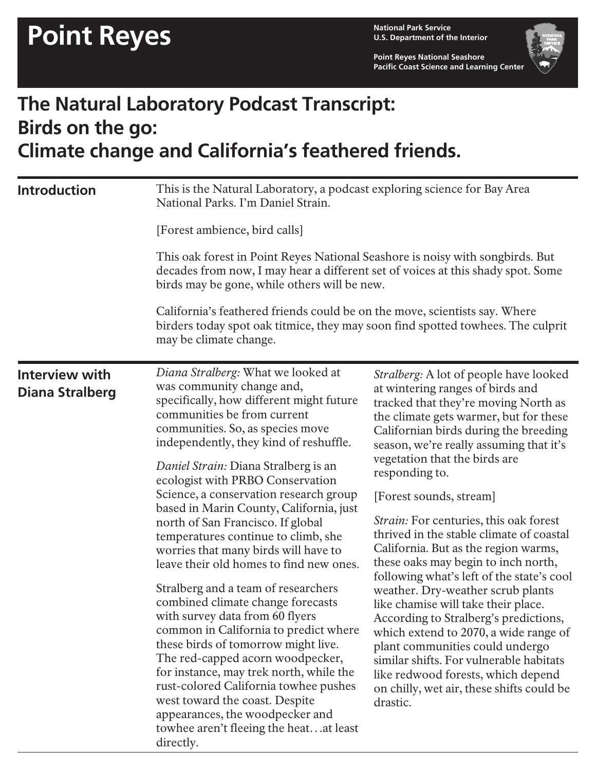**U.S. Department of the Interior**

**Point Reyes National Seashore Pacific Coast Science and Learning Center**



## **The Natural Laboratory Podcast Transcript: Birds on the go: Climate change and California's feathered friends.**

| <b>Introduction</b>                             | This is the Natural Laboratory, a podcast exploring science for Bay Area<br>National Parks. I'm Daniel Strain.<br>[Forest ambience, bird calls]<br>This oak forest in Point Reyes National Seashore is noisy with songbirds. But<br>decades from now, I may hear a different set of voices at this shady spot. Some<br>birds may be gone, while others will be new.<br>California's feathered friends could be on the move, scientists say. Where<br>birders today spot oak titmice, they may soon find spotted towhees. The culprit<br>may be climate change.                                                                                                                                                                                                                                                                                                                                                                                                                                              |                                                                                                                                                                                                                                                                                                                                                                                                                                                                                                                                                                                                                                                                                                                                                                                                                                                                                                    |
|-------------------------------------------------|-------------------------------------------------------------------------------------------------------------------------------------------------------------------------------------------------------------------------------------------------------------------------------------------------------------------------------------------------------------------------------------------------------------------------------------------------------------------------------------------------------------------------------------------------------------------------------------------------------------------------------------------------------------------------------------------------------------------------------------------------------------------------------------------------------------------------------------------------------------------------------------------------------------------------------------------------------------------------------------------------------------|----------------------------------------------------------------------------------------------------------------------------------------------------------------------------------------------------------------------------------------------------------------------------------------------------------------------------------------------------------------------------------------------------------------------------------------------------------------------------------------------------------------------------------------------------------------------------------------------------------------------------------------------------------------------------------------------------------------------------------------------------------------------------------------------------------------------------------------------------------------------------------------------------|
| <b>Interview with</b><br><b>Diana Stralberg</b> | Diana Stralberg: What we looked at<br>was community change and,<br>specifically, how different might future<br>communities be from current<br>communities. So, as species move<br>independently, they kind of reshuffle.<br>Daniel Strain: Diana Stralberg is an<br>ecologist with PRBO Conservation<br>Science, a conservation research group<br>based in Marin County, California, just<br>north of San Francisco. If global<br>temperatures continue to climb, she<br>worries that many birds will have to<br>leave their old homes to find new ones.<br>Stralberg and a team of researchers<br>combined climate change forecasts<br>with survey data from 60 flyers<br>common in California to predict where<br>these birds of tomorrow might live.<br>The red-capped acorn woodpecker,<br>for instance, may trek north, while the<br>rust-colored California towhee pushes<br>west toward the coast. Despite<br>appearances, the woodpecker and<br>towhee aren't fleeing the heatat least<br>directly. | Stralberg: A lot of people have looked<br>at wintering ranges of birds and<br>tracked that they're moving North as<br>the climate gets warmer, but for these<br>Californian birds during the breeding<br>season, we're really assuming that it's<br>vegetation that the birds are<br>responding to.<br>[Forest sounds, stream]<br><i>Strain:</i> For centuries, this oak forest<br>thrived in the stable climate of coastal<br>California. But as the region warms,<br>these oaks may begin to inch north,<br>following what's left of the state's cool<br>weather. Dry-weather scrub plants<br>like chamise will take their place.<br>According to Stralberg's predictions,<br>which extend to 2070, a wide range of<br>plant communities could undergo<br>similar shifts. For vulnerable habitats<br>like redwood forests, which depend<br>on chilly, wet air, these shifts could be<br>drastic. |